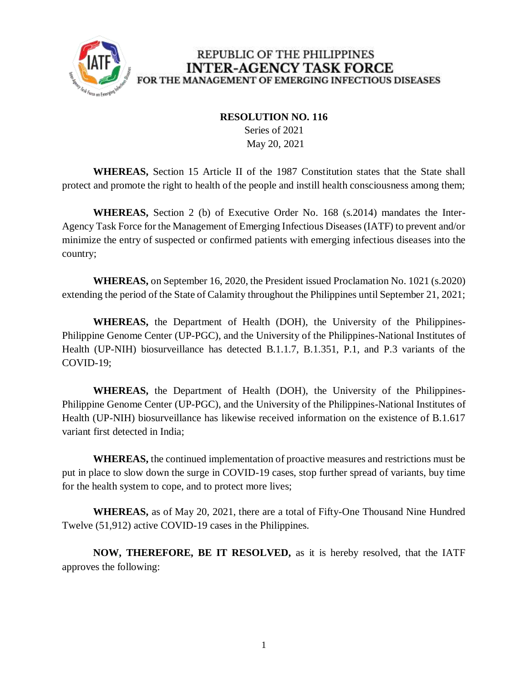

## REPUBLIC OF THE PHILIPPINES **INTER-AGENCY TASK FORCE** FOR THE MANAGEMENT OF EMERGING INFECTIOUS DISEASES

## **RESOLUTION NO. 116**

 Series of 2021 May 20, 2021

**WHEREAS,** Section 15 Article II of the 1987 Constitution states that the State shall protect and promote the right to health of the people and instill health consciousness among them;

**WHEREAS,** Section 2 (b) of Executive Order No. 168 (s.2014) mandates the Inter-Agency Task Force for the Management of Emerging Infectious Diseases (IATF) to prevent and/or minimize the entry of suspected or confirmed patients with emerging infectious diseases into the country;

**WHEREAS,** on September 16, 2020, the President issued Proclamation No. 1021 (s.2020) extending the period of the State of Calamity throughout the Philippines until September 21, 2021;

**WHEREAS,** the Department of Health (DOH), the University of the Philippines-Philippine Genome Center (UP-PGC), and the University of the Philippines-National Institutes of Health (UP-NIH) biosurveillance has detected B.1.1.7, B.1.351, P.1, and P.3 variants of the COVID-19;

**WHEREAS,** the Department of Health (DOH), the University of the Philippines-Philippine Genome Center (UP-PGC), and the University of the Philippines-National Institutes of Health (UP-NIH) biosurveillance has likewise received information on the existence of B.1.617 variant first detected in India;

**WHEREAS,** the continued implementation of proactive measures and restrictions must be put in place to slow down the surge in COVID-19 cases, stop further spread of variants, buy time for the health system to cope, and to protect more lives;

**WHEREAS,** as of May 20, 2021, there are a total of Fifty-One Thousand Nine Hundred Twelve (51,912) active COVID-19 cases in the Philippines.

**NOW, THEREFORE, BE IT RESOLVED,** as it is hereby resolved, that the IATF approves the following: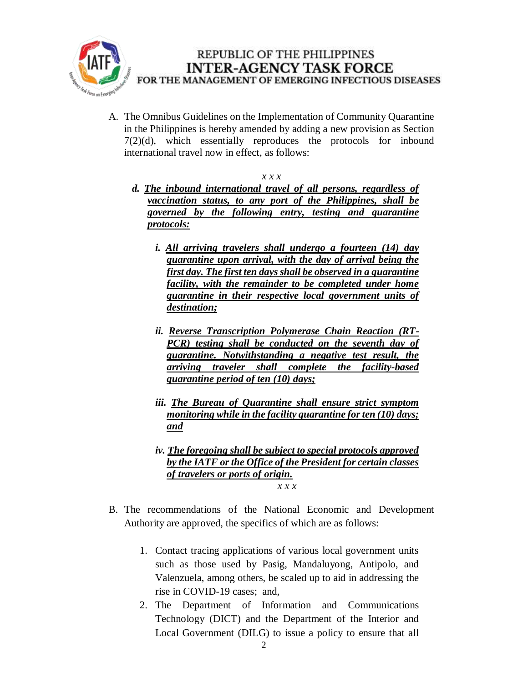

A. The Omnibus Guidelines on the Implementation of Community Quarantine in the Philippines is hereby amended by adding a new provision as Section 7(2)(d), which essentially reproduces the protocols for inbound international travel now in effect, as follows:

## *x x x*

- *d. The inbound international travel of all persons, regardless of vaccination status, to any port of the Philippines, shall be governed by the following entry, testing and quarantine protocols:*
	- *i. All arriving travelers shall undergo a fourteen (14) day quarantine upon arrival, with the day of arrival being the first day. The first ten days shall be observed in a quarantine facility, with the remainder to be completed under home quarantine in their respective local government units of destination;*
	- *ii. Reverse Transcription Polymerase Chain Reaction (RT-PCR) testing shall be conducted on the seventh day of quarantine. Notwithstanding a negative test result, the arriving traveler shall complete the facility-based quarantine period of ten (10) days;*
	- *iii. The Bureau of Quarantine shall ensure strict symptom monitoring while in the facility quarantine for ten (10) days; and*
	- *iv. The foregoing shall be subject to special protocols approved by the IATF or the Office of the President for certain classes of travelers or ports of origin. x x x*
- B. The recommendations of the National Economic and Development Authority are approved, the specifics of which are as follows:
	- 1. Contact tracing applications of various local government units such as those used by Pasig, Mandaluyong, Antipolo, and Valenzuela, among others, be scaled up to aid in addressing the rise in COVID-19 cases; and,
	- 2. The Department of Information and Communications Technology (DICT) and the Department of the Interior and Local Government (DILG) to issue a policy to ensure that all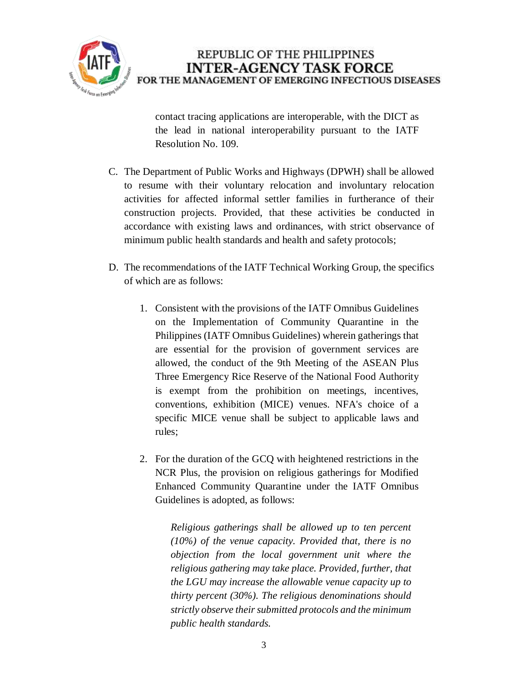

contact tracing applications are interoperable, with the DICT as the lead in national interoperability pursuant to the IATF Resolution No. 109.

- C. The Department of Public Works and Highways (DPWH) shall be allowed to resume with their voluntary relocation and involuntary relocation activities for affected informal settler families in furtherance of their construction projects. Provided, that these activities be conducted in accordance with existing laws and ordinances, with strict observance of minimum public health standards and health and safety protocols;
- D. The recommendations of the IATF Technical Working Group, the specifics of which are as follows:
	- 1. Consistent with the provisions of the IATF Omnibus Guidelines on the Implementation of Community Quarantine in the Philippines (IATF Omnibus Guidelines) wherein gatherings that are essential for the provision of government services are allowed, the conduct of the 9th Meeting of the ASEAN Plus Three Emergency Rice Reserve of the National Food Authority is exempt from the prohibition on meetings, incentives, conventions, exhibition (MICE) venues. NFA's choice of a specific MICE venue shall be subject to applicable laws and rules;
	- 2. For the duration of the GCQ with heightened restrictions in the NCR Plus, the provision on religious gatherings for Modified Enhanced Community Quarantine under the IATF Omnibus Guidelines is adopted, as follows:

*Religious gatherings shall be allowed up to ten percent (10%) of the venue capacity. Provided that, there is no objection from the local government unit where the religious gathering may take place. Provided, further, that the LGU may increase the allowable venue capacity up to thirty percent (30%). The religious denominations should strictly observe their submitted protocols and the minimum public health standards.*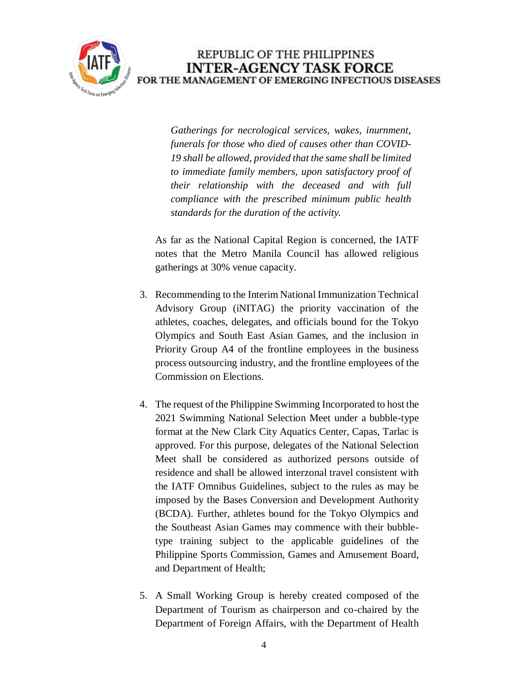

*Gatherings for necrological services, wakes, inurnment, funerals for those who died of causes other than COVID-19 shall be allowed, provided that the same shall be limited to immediate family members, upon satisfactory proof of their relationship with the deceased and with full compliance with the prescribed minimum public health standards for the duration of the activity.* 

As far as the National Capital Region is concerned, the IATF notes that the Metro Manila Council has allowed religious gatherings at 30% venue capacity.

- 3. Recommending to the Interim National Immunization Technical Advisory Group (iNITAG) the priority vaccination of the athletes, coaches, delegates, and officials bound for the Tokyo Olympics and South East Asian Games, and the inclusion in Priority Group A4 of the frontline employees in the business process outsourcing industry, and the frontline employees of the Commission on Elections.
- 4. The request of the Philippine Swimming Incorporated to host the 2021 Swimming National Selection Meet under a bubble-type format at the New Clark City Aquatics Center, Capas, Tarlac is approved. For this purpose, delegates of the National Selection Meet shall be considered as authorized persons outside of residence and shall be allowed interzonal travel consistent with the IATF Omnibus Guidelines, subject to the rules as may be imposed by the Bases Conversion and Development Authority (BCDA). Further, athletes bound for the Tokyo Olympics and the Southeast Asian Games may commence with their bubbletype training subject to the applicable guidelines of the Philippine Sports Commission, Games and Amusement Board, and Department of Health;
- 5. A Small Working Group is hereby created composed of the Department of Tourism as chairperson and co-chaired by the Department of Foreign Affairs, with the Department of Health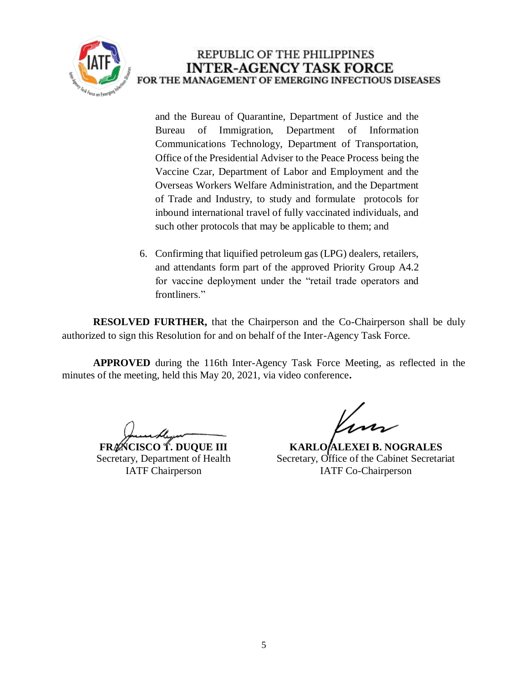

and the Bureau of Quarantine, Department of Justice and the Bureau of Immigration, Department of Information Communications Technology, Department of Transportation, Office of the Presidential Adviser to the Peace Process being the Vaccine Czar, Department of Labor and Employment and the Overseas Workers Welfare Administration, and the Department of Trade and Industry, to study and formulate protocols for inbound international travel of fully vaccinated individuals, and such other protocols that may be applicable to them; and

6. Confirming that liquified petroleum gas (LPG) dealers, retailers, and attendants form part of the approved Priority Group A4.2 for vaccine deployment under the "retail trade operators and frontliners."

**RESOLVED FURTHER,** that the Chairperson and the Co-Chairperson shall be duly authorized to sign this Resolution for and on behalf of the Inter-Agency Task Force.

**APPROVED** during the 116th Inter-Agency Task Force Meeting, as reflected in the minutes of the meeting, held this May 20, 2021, via video conference**.**

**FRANCISCO T. DUQUE III** Secretary, Department of Health IATF Chairperson

**KARLO ALEXEI B. NOGRALES** Secretary, Office of the Cabinet Secretariat IATF Co-Chairperson